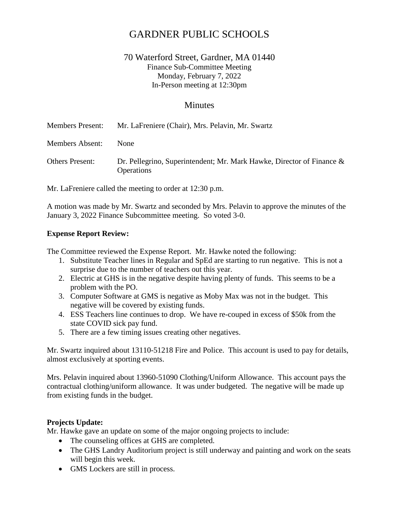# GARDNER PUBLIC SCHOOLS

# 70 Waterford Street, Gardner, MA 01440 Finance Sub-Committee Meeting Monday, February 7, 2022 In-Person meeting at 12:30pm

## **Minutes**

| <b>Members Present:</b> | Mr. LaFreniere (Chair), Mrs. Pelavin, Mr. Swartz                                           |
|-------------------------|--------------------------------------------------------------------------------------------|
| <b>Members Absent:</b>  | <b>None</b>                                                                                |
| Others Present:         | Dr. Pellegrino, Superintendent; Mr. Mark Hawke, Director of Finance &<br><b>Operations</b> |

Mr. LaFreniere called the meeting to order at 12:30 p.m.

A motion was made by Mr. Swartz and seconded by Mrs. Pelavin to approve the minutes of the January 3, 2022 Finance Subcommittee meeting. So voted 3-0.

#### **Expense Report Review:**

The Committee reviewed the Expense Report. Mr. Hawke noted the following:

- 1. Substitute Teacher lines in Regular and SpEd are starting to run negative. This is not a surprise due to the number of teachers out this year.
- 2. Electric at GHS is in the negative despite having plenty of funds. This seems to be a problem with the PO.
- 3. Computer Software at GMS is negative as Moby Max was not in the budget. This negative will be covered by existing funds.
- 4. ESS Teachers line continues to drop. We have re-couped in excess of \$50k from the state COVID sick pay fund.
- 5. There are a few timing issues creating other negatives.

Mr. Swartz inquired about 13110-51218 Fire and Police. This account is used to pay for details, almost exclusively at sporting events.

Mrs. Pelavin inquired about 13960-51090 Clothing/Uniform Allowance. This account pays the contractual clothing/uniform allowance. It was under budgeted. The negative will be made up from existing funds in the budget.

#### **Projects Update:**

Mr. Hawke gave an update on some of the major ongoing projects to include:

- The counseling offices at GHS are completed.
- The GHS Landry Auditorium project is still underway and painting and work on the seats will begin this week.
- GMS Lockers are still in process.